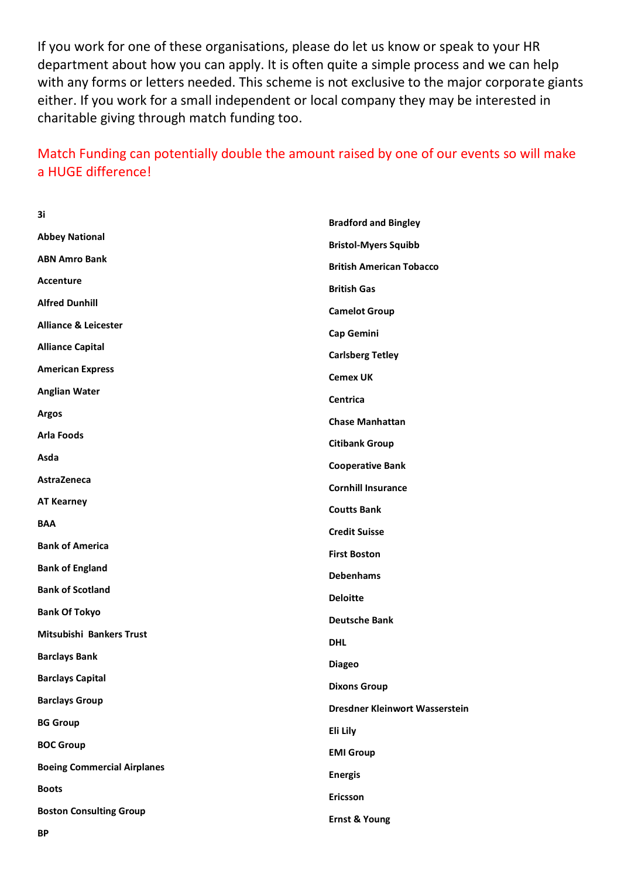If you work for one of these organisations, please do let us know or speak to your HR department about how you can apply. It is often quite a simple process and we can help with any forms or letters needed. This scheme is not exclusive to the major corporate giants either. If you work for a small independent or local company they may be interested in charitable giving through match funding too.

## Match Funding can potentially double the amount raised by one of our events so will make a HUGE difference!

| 3i                                 | <b>Bradford and Bingley</b>           |
|------------------------------------|---------------------------------------|
| <b>Abbey National</b>              | <b>Bristol-Myers Squibb</b>           |
| <b>ABN Amro Bank</b>               | <b>British American Tobacco</b>       |
| Accenture                          | <b>British Gas</b>                    |
| <b>Alfred Dunhill</b>              | <b>Camelot Group</b>                  |
| <b>Alliance &amp; Leicester</b>    | Cap Gemini                            |
| <b>Alliance Capital</b>            | <b>Carlsberg Tetley</b>               |
| <b>American Express</b>            | <b>Cemex UK</b>                       |
| <b>Anglian Water</b>               | Centrica                              |
| <b>Argos</b>                       | <b>Chase Manhattan</b>                |
| <b>Arla Foods</b>                  | <b>Citibank Group</b>                 |
| Asda                               | <b>Cooperative Bank</b>               |
| <b>AstraZeneca</b>                 | <b>Cornhill Insurance</b>             |
| <b>AT Kearney</b>                  | <b>Coutts Bank</b>                    |
| <b>BAA</b>                         | <b>Credit Suisse</b>                  |
| <b>Bank of America</b>             | <b>First Boston</b>                   |
| <b>Bank of England</b>             | <b>Debenhams</b>                      |
| <b>Bank of Scotland</b>            | <b>Deloitte</b>                       |
| <b>Bank Of Tokyo</b>               | <b>Deutsche Bank</b>                  |
| Mitsubishi Bankers Trust           | <b>DHL</b>                            |
| <b>Barclays Bank</b>               | <b>Diageo</b>                         |
| <b>Barclays Capital</b>            | <b>Dixons Group</b>                   |
| <b>Barclays Group</b>              | <b>Dresdner Kleinwort Wasserstein</b> |
| <b>BG Group</b>                    | Eli Lily                              |
| <b>BOC Group</b>                   |                                       |
| <b>Boeing Commercial Airplanes</b> | <b>EMI Group</b>                      |
| <b>Boots</b>                       | <b>Energis</b><br>Ericsson            |
| <b>Boston Consulting Group</b>     |                                       |
|                                    | <b>Ernst &amp; Young</b>              |

**BP**